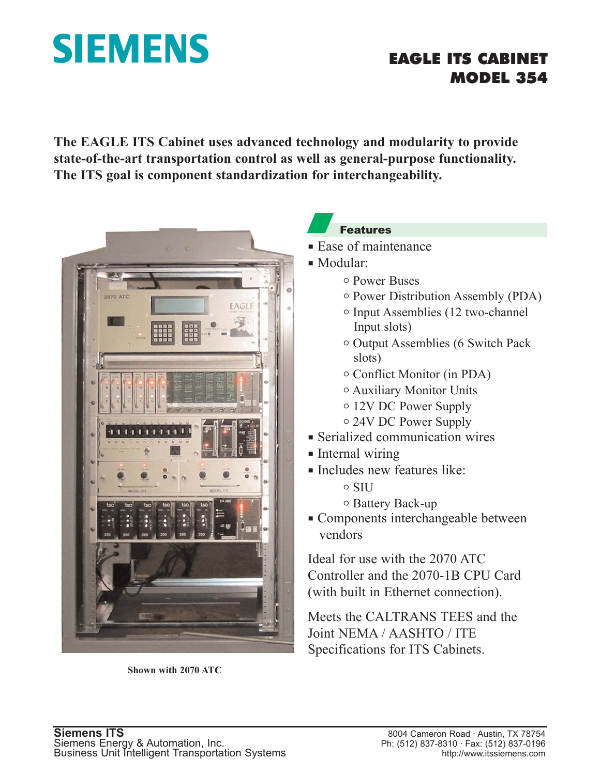# SIEMENS EAGLE ITS CABINET

## MODEL 354

**The EAGLE ITS Cabinet uses advanced technology and modularity to provide state-of-the-art transportation control as well as general-purpose functionality. The ITS goal is component standardization for interchangeability.**



**Shown with 2070 ATC**

#### Features

- $\blacksquare$  Ease of maintenance
- $\blacksquare$  Modular:
	- o Power Buses
	- $\circ$  Power Distribution Assembly (PDA)
	- $\circ$  Input Assemblies (12 two-channel Input slots)
	- o Output Assemblies (6 Switch Pack slots)
	- $\circ$  Conflict Monitor (in PDA)
	- <sup>o</sup> Auxiliary Monitor Units
	- o 12V DC Power Supply
	- o 24V DC Power Supply
- $\blacksquare$  Serialized communication wires
- $\blacksquare$  Internal wiring
- **Includes new features like:** 
	- o SIU
	- <sup>o</sup> Battery Back-up
- $\blacksquare$  Components interchangeable between vendors

Ideal for use with the 2070 ATC Controller and the 2070-1B CPU Card (with built in Ethernet connection).

Meets the CALTRANS TEES and the Joint NEMA / AASHTO / ITE Specifications for ITS Cabinets.